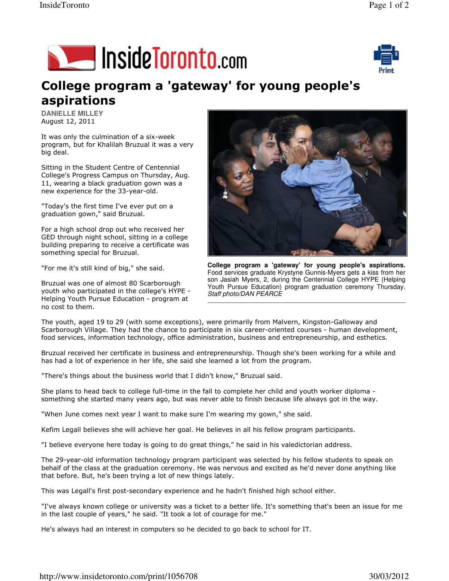



## College program a 'gateway' for young people's aspirations

**DANIELLE MILLEY**  August 12, 2011

It was only the culmination of a six-week program, but for Khalilah Bruzual it was a very big deal.

Sitting in the Student Centre of Centennial College's Progress Campus on Thursday, Aug. 11, wearing a black graduation gown was a new experience for the 33-year-old.

"Today's the first time I've ever put on a graduation gown," said Bruzual.

For a high school drop out who received her GED through night school, sitting in a college building preparing to receive a certificate was something special for Bruzual.

"For me it's still kind of big," she said.

Bruzual was one of almost 80 Scarborough youth who participated in the college's HYPE - Helping Youth Pursue Education - program at no cost to them.



**College program a 'gateway' for young people's aspirations.** Food services graduate Krystyne Gunnis-Myers gets a kiss from her son Jasiah Myers, 2, during the Centennial College HYPE (Helping Youth Pursue Education) program graduation ceremony Thursday. Staff photo/DAN PEARCE

The youth, aged 19 to 29 (with some exceptions), were primarily from Malvern, Kingston-Galloway and Scarborough Village. They had the chance to participate in six career-oriented courses - human development, food services, information technology, office administration, business and entrepreneurship, and esthetics.

Bruzual received her certificate in business and entrepreneurship. Though she's been working for a while and has had a lot of experience in her life, she said she learned a lot from the program.

"There's things about the business world that I didn't know," Bruzual said.

She plans to head back to college full-time in the fall to complete her child and youth worker diploma something she started many years ago, but was never able to finish because life always got in the way.

"When June comes next year I want to make sure I'm wearing my gown," she said.

Kefim Legall believes she will achieve her goal. He believes in all his fellow program participants.

"I believe everyone here today is going to do great things," he said in his valedictorian address.

The 29-year-old information technology program participant was selected by his fellow students to speak on behalf of the class at the graduation ceremony. He was nervous and excited as he'd never done anything like that before. But, he's been trying a lot of new things lately.

This was Legall's first post-secondary experience and he hadn't finished high school either.

"I've always known college or university was a ticket to a better life. It's something that's been an issue for me in the last couple of years," he said. "It took a lot of courage for me."

He's always had an interest in computers so he decided to go back to school for IT.